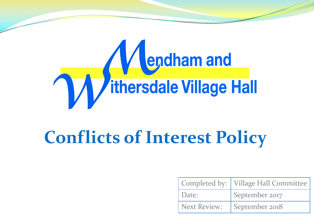

# **Conflicts of Interest Policy**

|                     | Completed by:   Village Hall Committee |
|---------------------|----------------------------------------|
| 'Date:              | September 2017                         |
| <b>Next Review:</b> | September 2018                         |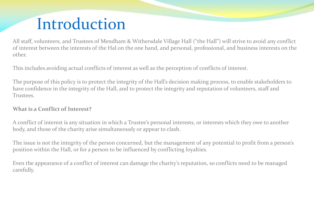### Introduction

All staff, volunteers, and Trustees of Mendham & Withersdale Village Hall ("the Hall") will strive to avoid any conflict of interest between the interests of the Hal on the one hand, and personal, professional, and business interests on the other.

This includes avoiding actual conflicts of interest as well as the perception of conflicts of interest.

The purpose of this policy is to protect the integrity of the Hall's decision making process, to enable stakeholders to have confidence in the integrity of the Hall, and to protect the integrity and reputation of volunteers, staff and Trustees.

#### **What is a Conflict of Interest?**

A conflict of interest is any situation in which a Trustee's personal interests, or interests which they owe to another body, and those of the charity arise simultaneously or appear to clash.

The issue is not the integrity of the person concerned, but the management of any potential to profit from a person's position within the Hall, or for a person to be influenced by conflicting loyalties.

Even the appearance of a conflict of interest can damage the charity's reputation, so conflicts need to be managed carefully.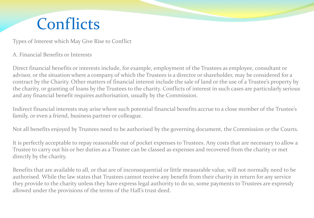### **Conflicts**

Types of Interest which May Give Rise to Conflict

#### A. Financial Benefits or Interests

Direct financial benefits or interests include, for example, employment of the Trustees as employee, consultant or advisor, or the situation where a company of which the Trustees is a director or shareholder, may be considered for a contract by the Charity. Other matters of financial interest include the sale of land or the use of a Trustee's property by the charity, or granting of loans by the Trustees to the charity. Conflicts of interest in such cases are particularly serious and any financial benefit requires authorisation, usually by the Commission.

Indirect financial interests may arise where such potential financial benefits accrue to a close member of the Trustee's family, or even a friend, business partner or colleague.

Not all benefits enjoyed by Trustees need to be authorised by the governing document, the Commission or the Courts.

It is perfectly acceptable to repay reasonable out of pocket expenses to Trustees. Any costs that are necessary to allow a Trustee to carry out his or her duties as a Trustee can be classed as expenses and recovered from the charity or met directly by the charity.

Benefits that are available to all, or that are of inconsequential or little measurable value, will not normally need to be authorised. While the law states that Trustees cannot receive any benefit from their charity in return for any service they provide to the charity unless they have express legal authority to do so, some payments to Trustees are expressly allowed under the provisions of the terms of the Hall's trust deed.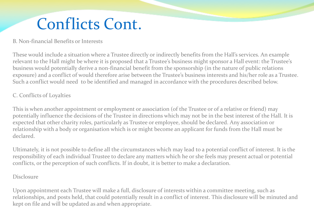## Conflicts Cont.

#### B. Non-financial Benefits or Interests

These would include a situation where a Trustee directly or indirectly benefits from the Hall's services. An example relevant to the Hall might be where it is proposed that a Trustee's business might sponsor a Hall event: the Trustee's business would potentially derive a non-financial benefit from the sponsorship (in the nature of public relations exposure) and a conflict of would therefore arise between the Trustee's business interests and his/her role as a Trustee. Such a conflict would need to be identified and managed in accordance with the procedures described below.

#### C. Conflicts of Loyalties

This is when another appointment or employment or association (of the Trustee or of a relative or friend) may potentially influence the decisions of the Trustee in directions which may not be in the best interest of the Hall. It is expected that other charity roles, particularly as Trustee or employee, should be declared. Any association or relationship with a body or organisation which is or might become an applicant for funds from the Hall must be declared.

Ultimately, it is not possible to define all the circumstances which may lead to a potential conflict of interest. It is the responsibility of each individual Trustee to declare any matters which he or she feels may present actual or potential conflicts, or the perception of such conflicts. If in doubt, it is better to make a declaration.

#### Disclosure

Upon appointment each Trustee will make a full, disclosure of interests within a committee meeting, such as relationships, and posts held, that could potentially result in a conflict of interest. This disclosure will be minuted and kept on file and will be updated as and when appropriate.